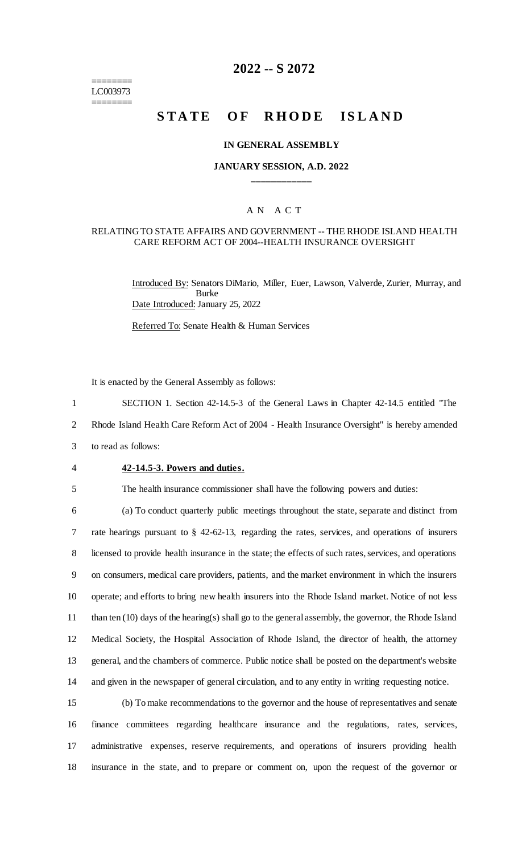======== LC003973 ========

# **2022 -- S 2072**

# **STATE OF RHODE ISLAND**

#### **IN GENERAL ASSEMBLY**

### **JANUARY SESSION, A.D. 2022 \_\_\_\_\_\_\_\_\_\_\_\_**

# A N A C T

#### RELATING TO STATE AFFAIRS AND GOVERNMENT -- THE RHODE ISLAND HEALTH CARE REFORM ACT OF 2004--HEALTH INSURANCE OVERSIGHT

Introduced By: Senators DiMario, Miller, Euer, Lawson, Valverde, Zurier, Murray, and Burke Date Introduced: January 25, 2022

Referred To: Senate Health & Human Services

It is enacted by the General Assembly as follows:

1 SECTION 1. Section 42-14.5-3 of the General Laws in Chapter 42-14.5 entitled "The

2 Rhode Island Health Care Reform Act of 2004 - Health Insurance Oversight" is hereby amended

- 3 to read as follows:
- 

#### 4 **42-14.5-3. Powers and duties.**

5 The health insurance commissioner shall have the following powers and duties:

 (a) To conduct quarterly public meetings throughout the state, separate and distinct from rate hearings pursuant to § 42-62-13, regarding the rates, services, and operations of insurers licensed to provide health insurance in the state; the effects of such rates, services, and operations on consumers, medical care providers, patients, and the market environment in which the insurers operate; and efforts to bring new health insurers into the Rhode Island market. Notice of not less than ten (10) days of the hearing(s) shall go to the general assembly, the governor, the Rhode Island Medical Society, the Hospital Association of Rhode Island, the director of health, the attorney general, and the chambers of commerce. Public notice shall be posted on the department's website and given in the newspaper of general circulation, and to any entity in writing requesting notice.

 (b) To make recommendations to the governor and the house of representatives and senate finance committees regarding healthcare insurance and the regulations, rates, services, administrative expenses, reserve requirements, and operations of insurers providing health insurance in the state, and to prepare or comment on, upon the request of the governor or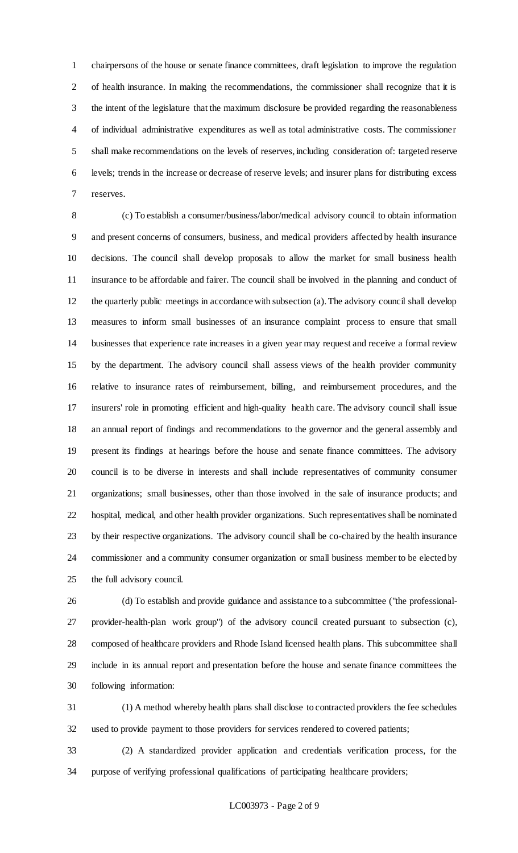chairpersons of the house or senate finance committees, draft legislation to improve the regulation of health insurance. In making the recommendations, the commissioner shall recognize that it is the intent of the legislature that the maximum disclosure be provided regarding the reasonableness of individual administrative expenditures as well as total administrative costs. The commissioner shall make recommendations on the levels of reserves, including consideration of: targeted reserve levels; trends in the increase or decrease of reserve levels; and insurer plans for distributing excess reserves.

 (c) To establish a consumer/business/labor/medical advisory council to obtain information and present concerns of consumers, business, and medical providers affected by health insurance decisions. The council shall develop proposals to allow the market for small business health insurance to be affordable and fairer. The council shall be involved in the planning and conduct of the quarterly public meetings in accordance with subsection (a). The advisory council shall develop measures to inform small businesses of an insurance complaint process to ensure that small businesses that experience rate increases in a given year may request and receive a formal review by the department. The advisory council shall assess views of the health provider community relative to insurance rates of reimbursement, billing, and reimbursement procedures, and the insurers' role in promoting efficient and high-quality health care. The advisory council shall issue an annual report of findings and recommendations to the governor and the general assembly and present its findings at hearings before the house and senate finance committees. The advisory council is to be diverse in interests and shall include representatives of community consumer organizations; small businesses, other than those involved in the sale of insurance products; and hospital, medical, and other health provider organizations. Such representatives shall be nominated by their respective organizations. The advisory council shall be co-chaired by the health insurance commissioner and a community consumer organization or small business member to be elected by the full advisory council.

 (d) To establish and provide guidance and assistance to a subcommittee ("the professional- provider-health-plan work group") of the advisory council created pursuant to subsection (c), composed of healthcare providers and Rhode Island licensed health plans. This subcommittee shall include in its annual report and presentation before the house and senate finance committees the following information:

 (1) A method whereby health plans shall disclose to contracted providers the fee schedules used to provide payment to those providers for services rendered to covered patients;

 (2) A standardized provider application and credentials verification process, for the purpose of verifying professional qualifications of participating healthcare providers;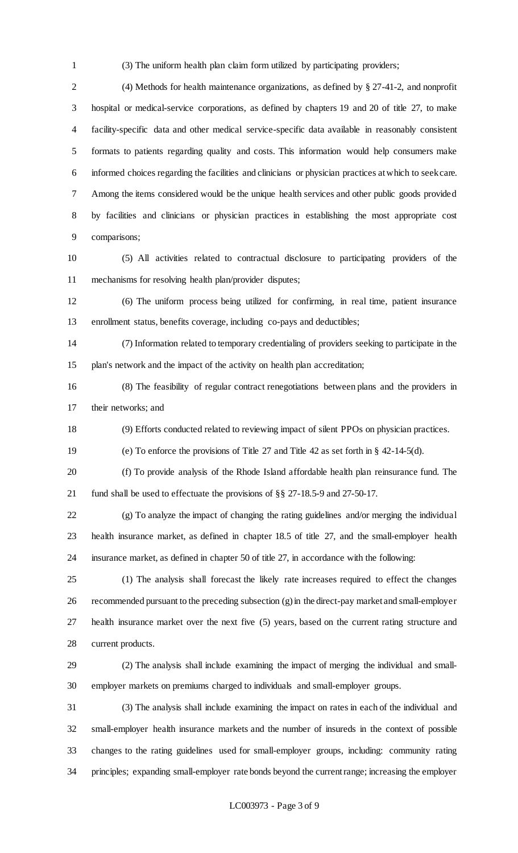(3) The uniform health plan claim form utilized by participating providers;

 (4) Methods for health maintenance organizations, as defined by § 27-41-2, and nonprofit hospital or medical-service corporations, as defined by chapters 19 and 20 of title 27, to make facility-specific data and other medical service-specific data available in reasonably consistent formats to patients regarding quality and costs. This information would help consumers make informed choices regarding the facilities and clinicians or physician practices at which to seek care. Among the items considered would be the unique health services and other public goods provided by facilities and clinicians or physician practices in establishing the most appropriate cost comparisons;

 (5) All activities related to contractual disclosure to participating providers of the mechanisms for resolving health plan/provider disputes;

 (6) The uniform process being utilized for confirming, in real time, patient insurance enrollment status, benefits coverage, including co-pays and deductibles;

 (7) Information related to temporary credentialing of providers seeking to participate in the plan's network and the impact of the activity on health plan accreditation;

 (8) The feasibility of regular contract renegotiations between plans and the providers in their networks; and

(9) Efforts conducted related to reviewing impact of silent PPOs on physician practices.

(e) To enforce the provisions of Title 27 and Title 42 as set forth in § 42-14-5(d).

 (f) To provide analysis of the Rhode Island affordable health plan reinsurance fund. The fund shall be used to effectuate the provisions of §§ 27-18.5-9 and 27-50-17.

 (g) To analyze the impact of changing the rating guidelines and/or merging the individual health insurance market, as defined in chapter 18.5 of title 27, and the small-employer health insurance market, as defined in chapter 50 of title 27, in accordance with the following:

 (1) The analysis shall forecast the likely rate increases required to effect the changes recommended pursuant to the preceding subsection (g) in the direct-pay market and small-employer health insurance market over the next five (5) years, based on the current rating structure and current products.

 (2) The analysis shall include examining the impact of merging the individual and small-employer markets on premiums charged to individuals and small-employer groups.

 (3) The analysis shall include examining the impact on rates in each of the individual and small-employer health insurance markets and the number of insureds in the context of possible changes to the rating guidelines used for small-employer groups, including: community rating principles; expanding small-employer rate bonds beyond the current range; increasing the employer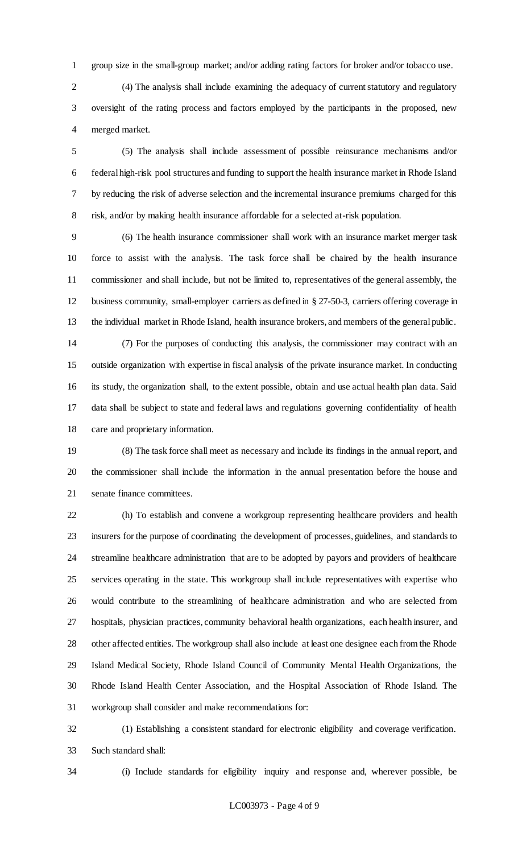group size in the small-group market; and/or adding rating factors for broker and/or tobacco use.

 (4) The analysis shall include examining the adequacy of current statutory and regulatory oversight of the rating process and factors employed by the participants in the proposed, new merged market.

 (5) The analysis shall include assessment of possible reinsurance mechanisms and/or federal high-risk pool structures and funding to support the health insurance market in Rhode Island by reducing the risk of adverse selection and the incremental insurance premiums charged for this risk, and/or by making health insurance affordable for a selected at-risk population.

 (6) The health insurance commissioner shall work with an insurance market merger task force to assist with the analysis. The task force shall be chaired by the health insurance commissioner and shall include, but not be limited to, representatives of the general assembly, the business community, small-employer carriers as defined in § 27-50-3, carriers offering coverage in the individual market in Rhode Island, health insurance brokers, and members of the general public.

 (7) For the purposes of conducting this analysis, the commissioner may contract with an outside organization with expertise in fiscal analysis of the private insurance market. In conducting its study, the organization shall, to the extent possible, obtain and use actual health plan data. Said data shall be subject to state and federal laws and regulations governing confidentiality of health care and proprietary information.

 (8) The task force shall meet as necessary and include its findings in the annual report, and the commissioner shall include the information in the annual presentation before the house and senate finance committees.

22 (h) To establish and convene a workgroup representing healthcare providers and health insurers for the purpose of coordinating the development of processes, guidelines, and standards to streamline healthcare administration that are to be adopted by payors and providers of healthcare services operating in the state. This workgroup shall include representatives with expertise who would contribute to the streamlining of healthcare administration and who are selected from hospitals, physician practices, community behavioral health organizations, each health insurer, and other affected entities. The workgroup shall also include at least one designee each from the Rhode Island Medical Society, Rhode Island Council of Community Mental Health Organizations, the Rhode Island Health Center Association, and the Hospital Association of Rhode Island. The workgroup shall consider and make recommendations for:

 (1) Establishing a consistent standard for electronic eligibility and coverage verification. Such standard shall:

(i) Include standards for eligibility inquiry and response and, wherever possible, be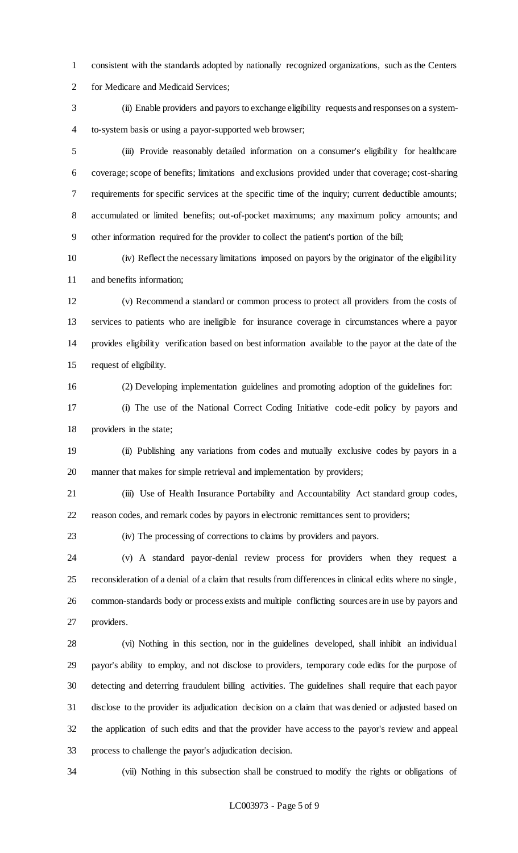consistent with the standards adopted by nationally recognized organizations, such as the Centers for Medicare and Medicaid Services;

 (ii) Enable providers and payors to exchange eligibility requests and responses on a system-to-system basis or using a payor-supported web browser;

 (iii) Provide reasonably detailed information on a consumer's eligibility for healthcare coverage; scope of benefits; limitations and exclusions provided under that coverage; cost-sharing requirements for specific services at the specific time of the inquiry; current deductible amounts; accumulated or limited benefits; out-of-pocket maximums; any maximum policy amounts; and other information required for the provider to collect the patient's portion of the bill;

 (iv) Reflect the necessary limitations imposed on payors by the originator of the eligibility and benefits information;

 (v) Recommend a standard or common process to protect all providers from the costs of services to patients who are ineligible for insurance coverage in circumstances where a payor provides eligibility verification based on best information available to the payor at the date of the request of eligibility.

(2) Developing implementation guidelines and promoting adoption of the guidelines for:

 (i) The use of the National Correct Coding Initiative code-edit policy by payors and providers in the state;

 (ii) Publishing any variations from codes and mutually exclusive codes by payors in a manner that makes for simple retrieval and implementation by providers;

 (iii) Use of Health Insurance Portability and Accountability Act standard group codes, reason codes, and remark codes by payors in electronic remittances sent to providers;

(iv) The processing of corrections to claims by providers and payors.

 (v) A standard payor-denial review process for providers when they request a reconsideration of a denial of a claim that results from differences in clinical edits where no single, common-standards body or process exists and multiple conflicting sources are in use by payors and providers.

 (vi) Nothing in this section, nor in the guidelines developed, shall inhibit an individual payor's ability to employ, and not disclose to providers, temporary code edits for the purpose of detecting and deterring fraudulent billing activities. The guidelines shall require that each payor disclose to the provider its adjudication decision on a claim that was denied or adjusted based on the application of such edits and that the provider have access to the payor's review and appeal process to challenge the payor's adjudication decision.

(vii) Nothing in this subsection shall be construed to modify the rights or obligations of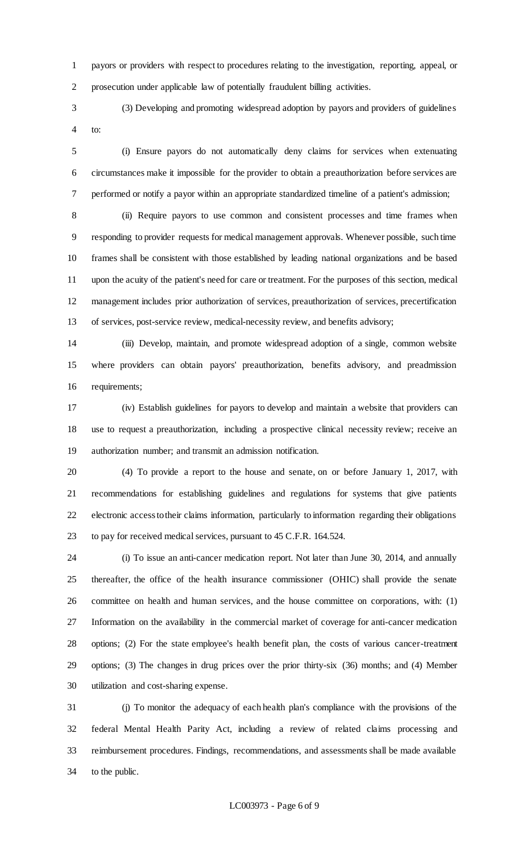payors or providers with respect to procedures relating to the investigation, reporting, appeal, or prosecution under applicable law of potentially fraudulent billing activities.

 (3) Developing and promoting widespread adoption by payors and providers of guidelines to:

 (i) Ensure payors do not automatically deny claims for services when extenuating circumstances make it impossible for the provider to obtain a preauthorization before services are performed or notify a payor within an appropriate standardized timeline of a patient's admission;

 (ii) Require payors to use common and consistent processes and time frames when responding to provider requests for medical management approvals. Whenever possible, such time frames shall be consistent with those established by leading national organizations and be based upon the acuity of the patient's need for care or treatment. For the purposes of this section, medical management includes prior authorization of services, preauthorization of services, precertification of services, post-service review, medical-necessity review, and benefits advisory;

 (iii) Develop, maintain, and promote widespread adoption of a single, common website where providers can obtain payors' preauthorization, benefits advisory, and preadmission requirements;

 (iv) Establish guidelines for payors to develop and maintain a website that providers can use to request a preauthorization, including a prospective clinical necessity review; receive an authorization number; and transmit an admission notification.

 (4) To provide a report to the house and senate, on or before January 1, 2017, with recommendations for establishing guidelines and regulations for systems that give patients electronic access to their claims information, particularly to information regarding their obligations to pay for received medical services, pursuant to 45 C.F.R. 164.524.

 (i) To issue an anti-cancer medication report. Not later than June 30, 2014, and annually thereafter, the office of the health insurance commissioner (OHIC) shall provide the senate committee on health and human services, and the house committee on corporations, with: (1) Information on the availability in the commercial market of coverage for anti-cancer medication options; (2) For the state employee's health benefit plan, the costs of various cancer-treatment options; (3) The changes in drug prices over the prior thirty-six (36) months; and (4) Member utilization and cost-sharing expense.

 (j) To monitor the adequacy of each health plan's compliance with the provisions of the federal Mental Health Parity Act, including a review of related claims processing and reimbursement procedures. Findings, recommendations, and assessments shall be made available to the public.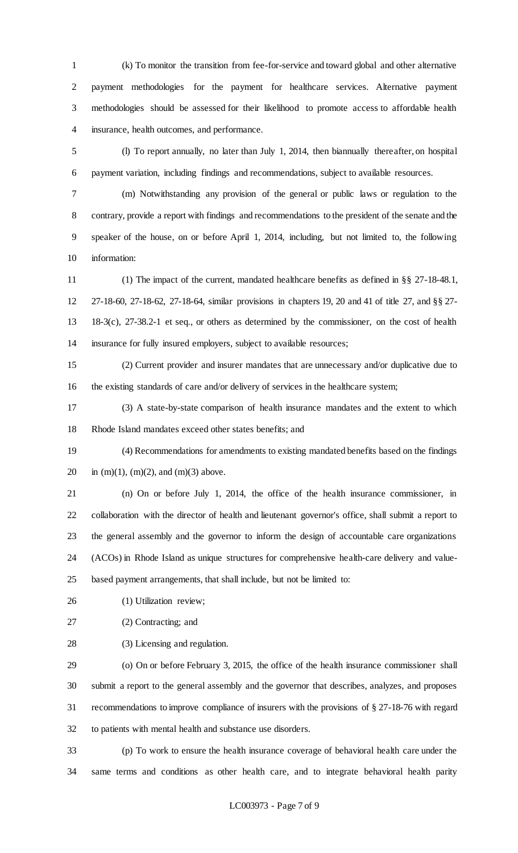(k) To monitor the transition from fee-for-service and toward global and other alternative payment methodologies for the payment for healthcare services. Alternative payment methodologies should be assessed for their likelihood to promote access to affordable health insurance, health outcomes, and performance.

 (l) To report annually, no later than July 1, 2014, then biannually thereafter, on hospital payment variation, including findings and recommendations, subject to available resources.

 (m) Notwithstanding any provision of the general or public laws or regulation to the contrary, provide a report with findings and recommendations to the president of the senate and the speaker of the house, on or before April 1, 2014, including, but not limited to, the following information:

 (1) The impact of the current, mandated healthcare benefits as defined in §§ 27-18-48.1, 27-18-60, 27-18-62, 27-18-64, similar provisions in chapters 19, 20 and 41 of title 27, and §§ 27- 18-3(c), 27-38.2-1 et seq., or others as determined by the commissioner, on the cost of health insurance for fully insured employers, subject to available resources;

 (2) Current provider and insurer mandates that are unnecessary and/or duplicative due to the existing standards of care and/or delivery of services in the healthcare system;

 (3) A state-by-state comparison of health insurance mandates and the extent to which Rhode Island mandates exceed other states benefits; and

 (4) Recommendations for amendments to existing mandated benefits based on the findings 20 in (m)(1), (m)(2), and (m)(3) above.

 (n) On or before July 1, 2014, the office of the health insurance commissioner, in collaboration with the director of health and lieutenant governor's office, shall submit a report to the general assembly and the governor to inform the design of accountable care organizations (ACOs) in Rhode Island as unique structures for comprehensive health-care delivery and value-based payment arrangements, that shall include, but not be limited to:

26 (1) Utilization review;

(2) Contracting; and

(3) Licensing and regulation.

 (o) On or before February 3, 2015, the office of the health insurance commissioner shall submit a report to the general assembly and the governor that describes, analyzes, and proposes recommendations to improve compliance of insurers with the provisions of § 27-18-76 with regard to patients with mental health and substance use disorders.

 (p) To work to ensure the health insurance coverage of behavioral health care under the same terms and conditions as other health care, and to integrate behavioral health parity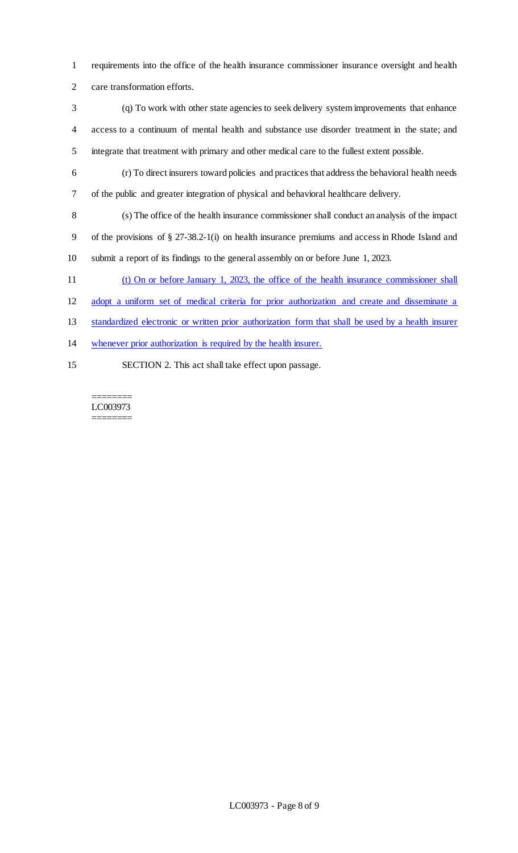requirements into the office of the health insurance commissioner insurance oversight and health care transformation efforts.

 (q) To work with other state agencies to seek delivery system improvements that enhance access to a continuum of mental health and substance use disorder treatment in the state; and integrate that treatment with primary and other medical care to the fullest extent possible.

 (r) To direct insurers toward policies and practices that address the behavioral health needs of the public and greater integration of physical and behavioral healthcare delivery.

 (s) The office of the health insurance commissioner shall conduct an analysis of the impact of the provisions of § 27-38.2-1(i) on health insurance premiums and access in Rhode Island and submit a report of its findings to the general assembly on or before June 1, 2023.

(t) On or before January 1, 2023, the office of the health insurance commissioner shall

adopt a uniform set of medical criteria for prior authorization and create and disseminate a

standardized electronic or written prior authorization form that shall be used by a health insurer

whenever prior authorization is required by the health insurer.

SECTION 2. This act shall take effect upon passage.

======== LC003973 ========